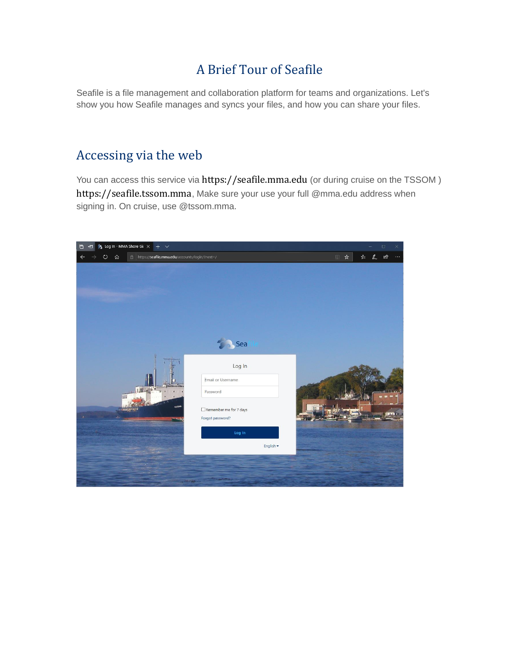# A Brief Tour of Seafile

Seafile is a file management and collaboration platform for teams and organizations. Let's show you how Seafile manages and syncs your files, and how you can share your files.

### Accessing via the web

You can access this service via https://seafile.mma.edu (or during cruise on the TSSOM) https://seafile.tssom.mma, Make sure your use your full @mma.edu address when signing in. On cruise, use @tssom.mma.

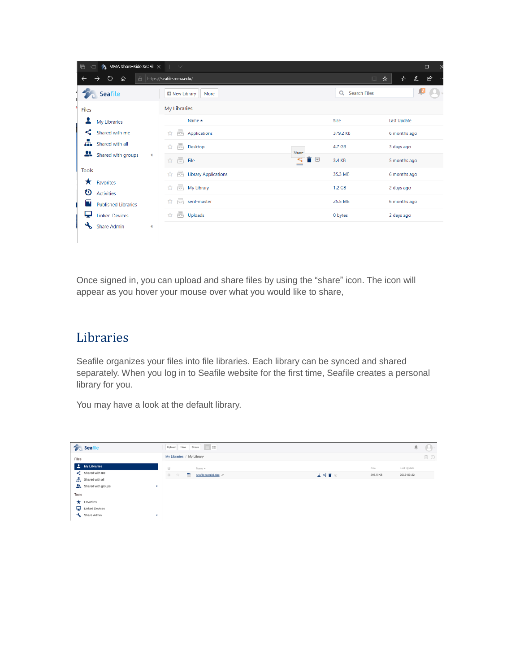| <b>A</b> MMA Shore-Side SeaFil $\times$ + $\vee$<br>后<br>$\oplus$<br>$\Box$ |                                       |              |                      |                             |  |  |
|-----------------------------------------------------------------------------|---------------------------------------|--------------|----------------------|-----------------------------|--|--|
| $\circ$<br>⋒<br>$\rightarrow$<br>A                                          | https://seafile.mma.edu/              |              | $\qquad \qquad \Box$ | $\mathbb{Z}$<br>ピ<br>诈<br>☆ |  |  |
| Seafile                                                                     | <b>D</b> New Library<br>More          |              | Q Search Files       |                             |  |  |
| Files                                                                       | My Libraries                          |              |                      |                             |  |  |
| $\overline{\mathbf{a}}$<br>My Libraries                                     | Name $\triangle$                      |              | Size                 | Last Update                 |  |  |
| κč<br>Shared with me                                                        | 員<br>Applications<br>☆                |              | 379.2 KB             | 6 months ago                |  |  |
| Shared with all<br>Æ.                                                       | 肙<br>☆<br>Desktop                     |              | 4.7 GB               | 3 days ago                  |  |  |
| 28<br>Shared with groups<br>$\blacktriangleleft$                            | 局<br>☆<br>File                        | Share<br>i o | 3.4 KB               | 5 months ago                |  |  |
| <b>Tools</b>                                                                | 晨<br><b>Library Applications</b><br>☆ |              | 35.3 MB              | 6 months ago                |  |  |
| ★<br>Favorites<br>O<br><b>Activities</b>                                    | 启<br>My Library<br>☆                  |              | 1.2 GB               | 2 days ago                  |  |  |
| π<br><b>Published Libraries</b>                                             | Æ<br>senf-master<br>☆                 |              | 25.5 MB              | 6 months ago                |  |  |
| <b>Linked Devices</b>                                                       | 員<br>Uploads<br>☆                     |              | 0 bytes              | 2 days ago                  |  |  |
| <b>Share Admin</b><br>4                                                     |                                       |              |                      |                             |  |  |

Once signed in, you can upload and share files by using the "share" icon. The icon will appear as you hover your mouse over what you would like to share,

#### Libraries

Seafile organizes your files into file libraries. Each library can be synced and shared separately. When you log in to Seafile website for the first time, Seafile creates a personal library for you.

You may have a look at the default library.

| <b>Seafile</b>                                           | Upload<br>New                                                                     |      |          | Ą.          | $(-)$ -                                 |
|----------------------------------------------------------|-----------------------------------------------------------------------------------|------|----------|-------------|-----------------------------------------|
| Files                                                    | My Libraries / My Library                                                         |      |          |             | $\begin{tabular}{c} \top \end{tabular}$ |
| My Libraries                                             | $\qquad \qquad \qquad \qquad \qquad \qquad \qquad \qquad \qquad \qquad$<br>Name + |      | Size     | Last Update |                                         |
| $\mathbf{C}^{\bullet}$ Shared with me<br>Shared with all | ■ ☆<br>÷<br>seafile-tutorial.doc 2                                                | 土村盲目 | 293.5 KB | 2019-03-22  |                                         |
| Shared with groups                                       |                                                                                   |      |          |             |                                         |
| Tools                                                    |                                                                                   |      |          |             |                                         |
| $\bigstar$ Favorites                                     |                                                                                   |      |          |             |                                         |
| Linked Devices                                           |                                                                                   |      |          |             |                                         |
| Share Admin                                              |                                                                                   |      |          |             |                                         |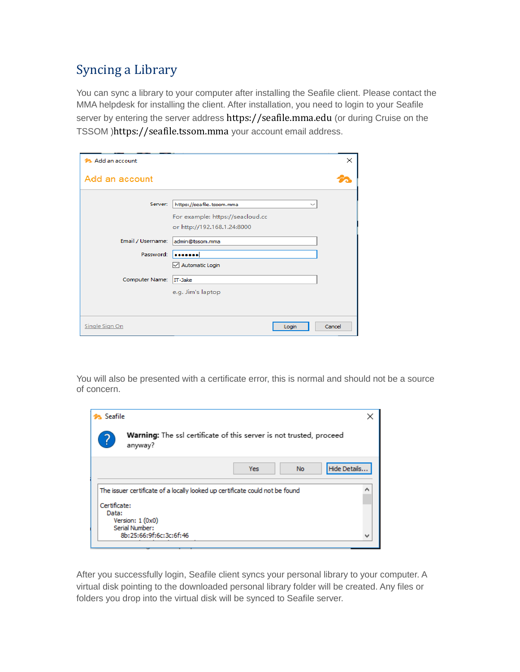# Syncing a Library

You can sync a library to your computer after installing the Seafile client. Please contact the MMA helpdesk for installing the client. After installation, you need to login to your Seafile server by entering the server address https://seafile.mma.edu (or during Cruise on the TSSOM )https://seafile.tssom.mma your account email address.

| <b>23</b> Add an account       |                                                               |              | $\times$ |
|--------------------------------|---------------------------------------------------------------|--------------|----------|
| Add an account                 |                                                               |              |          |
| Server:                        | https://seafile.tssom.mma<br>For example: https://seacloud.cc | $\checkmark$ |          |
| Email / Username:<br>Password: | or http://192.168.1.24:8000<br>admin@tssom.mma<br>            |              |          |
| Computer Name:                 | Automatic Login<br>IT-Jake                                    |              |          |
|                                | e.g. Jim's laptop                                             |              |          |
| Single Sign On                 |                                                               | Login        | Cancel   |

You will also be presented with a certificate error, this is normal and should not be a source of concern.



After you successfully login, Seafile client syncs your personal library to your computer. A virtual disk pointing to the downloaded personal library folder will be created. Any files or folders you drop into the virtual disk will be synced to Seafile server.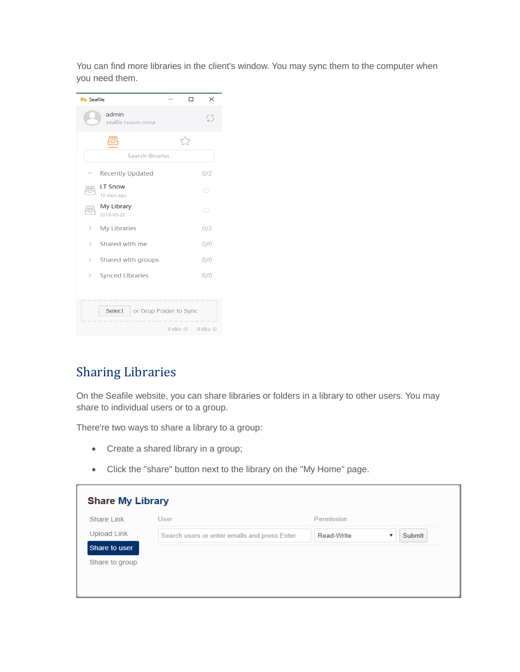You can find more libraries in the client's window. You may sync them to the computer when you need them.



## Sharing Libraries

On the Seafile website, you can share libraries or folders in a library to other users. You may share to individual users or to a group.

There're two ways to share a library to a group:

- Create a shared library in a group;
- Click the "share" button next to the library on the "My Home" page.

| Share Link         | User                                         | Permission |        |
|--------------------|----------------------------------------------|------------|--------|
| <b>Upload Link</b> | Search users or enter emails and press Enter | Read-Write | Submit |
| Share to user      |                                              |            |        |
| Share to group     |                                              |            |        |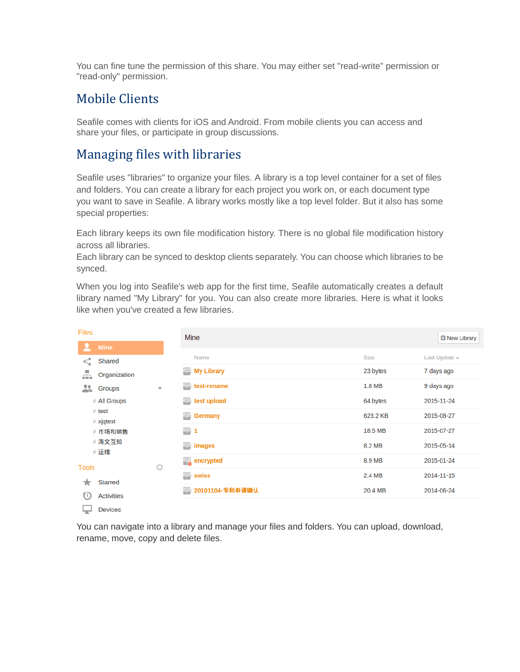You can fine tune the permission of this share. You may either set "read-write" permission or "read-only" permission.

## Mobile Clients

Seafile comes with clients for iOS and Android. From mobile clients you can access and share your files, or participate in group discussions.

#### Managing files with libraries

Seafile uses "libraries" to organize your files. A library is a top level container for a set of files and folders. You can create a library for each project you work on, or each document type you want to save in Seafile. A library works mostly like a top level folder. But it also has some special properties:

Each library keeps its own file modification history. There is no global file modification history across all libraries.

Each library can be synced to desktop clients separately. You can choose which libraries to be synced.

When you log into Seafile's web app for the first time, Seafile automatically creates a default library named "My Library" for you. You can also create more libraries. Here is what it looks like when you've created a few libraries.

| <b>Files</b>                                 | <b>Mine</b>                                                                                |             | <b>D</b> New Library |
|----------------------------------------------|--------------------------------------------------------------------------------------------|-------------|----------------------|
| <b>Mine</b><br>д                             |                                                                                            |             |                      |
| $\mathbf{e}_{n}^{\star\mathbf{0}}$<br>Shared | Name                                                                                       | <b>Size</b> | Last Update ▲        |
| Ā.<br>Organization                           | My Library                                                                                 | 23 bytes    | 7 days ago           |
| 23.<br>Groups<br>$\overline{\phantom{a}}$    | test-rename<br>⇔                                                                           | 1.8 MB      | 9 days ago           |
| # All Groups                                 | test upload                                                                                | 64 bytes    | 2015-11-24           |
| $#$ test<br>$#$ xjqtest                      | <b>Germany</b><br>⇔                                                                        | 623.2 KB    | 2015-08-27           |
| # 市场和销售                                      | $\leftrightarrow$ 1                                                                        | 18.5 MB     | 2015-07-27           |
| # 海文互知<br># 运维                               | <del></del> images                                                                         | 8.2 MB      | 2015-05-14           |
| ۰<br><b>Tools</b>                            | <b>A</b> encrypted                                                                         | 8.9 MB      | 2015-01-24           |
| <b>Starred</b><br>★                          | $\left( \begin{array}{c} \begin{array}{c} \end{array} \end{array} \right)$<br><b>swiss</b> | 2.4 MB      | 2014-11-15           |
| <b>Activities</b><br>τo                      | 20101104-专利申请确认                                                                            | 20.4 MB     | 2014-06-24           |
| $-$                                          |                                                                                            |             |                      |

 $\Box$  Devices

You can navigate into a library and manage your files and folders. You can upload, download, rename, move, copy and delete files.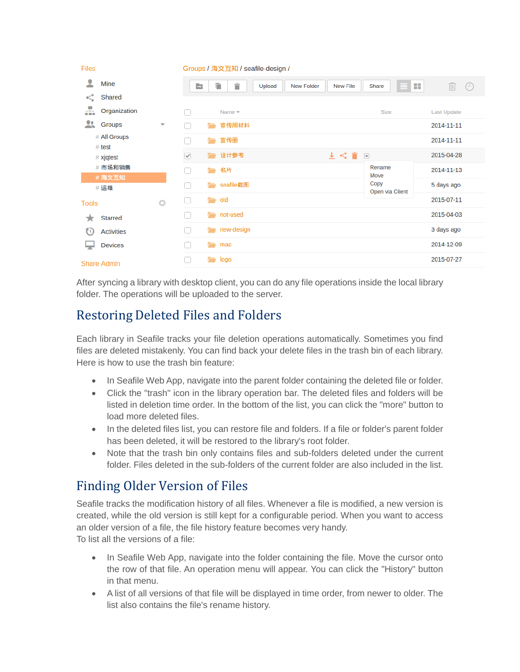| <b>Files</b>                                                 |                        |   |                     | Groups / 海文互知 / seafile-design /        |        |                   |                 |                                 |                    |         |
|--------------------------------------------------------------|------------------------|---|---------------------|-----------------------------------------|--------|-------------------|-----------------|---------------------------------|--------------------|---------|
| ደ                                                            | Mine                   |   | D.                  | D<br>Ť                                  | Upload | <b>New Folder</b> | <b>New File</b> | Share                           | 画<br>æ             | $\odot$ |
| $\mathbf{e}_{\mathbf{e}_\mathbf{e}}^{\mathbf{e}_\mathbf{e}}$ | Shared                 |   |                     |                                         |        |                   |                 |                                 |                    |         |
| А.                                                           | Organization           |   |                     | Name $\blacktriangledown$               |        |                   |                 | <b>Size</b>                     | <b>Last Update</b> |         |
| 용                                                            | <b>Groups</b>          | ۳ |                     | 宣传用材料<br>一                              |        |                   |                 |                                 | 2014-11-11         |         |
|                                                              | # All Groups<br># test |   |                     | 宣传册<br>一                                |        |                   |                 |                                 | 2014-11-11         |         |
|                                                              | $#$ xjqtest            |   | $\overline{\smile}$ | 设计参考<br>芦                               |        |                   | 土米市             | $\overline{\mathbf{v}}$         | 2015-04-28         |         |
|                                                              | # 市场和销售                |   | г                   | 名片<br><b>Contract Contract Contract</b> |        |                   |                 | Rename                          | 2014-11-13         |         |
|                                                              | # 海文互知<br># 运维         |   |                     | seafile截图<br>一                          |        |                   |                 | Move<br>Copy<br>Open via Client | 5 days ago         |         |
| <b>Tools</b>                                                 |                        | o |                     | <b>to</b> old                           |        |                   |                 |                                 | 2015-07-11         |         |
| ★                                                            | <b>Starred</b>         |   |                     | not-used<br>—                           |        |                   |                 |                                 | 2015-04-03         |         |
| tū                                                           | <b>Activities</b>      |   |                     | new-design<br>广                         |        |                   |                 |                                 | 3 days ago         |         |
| 57                                                           | <b>Devices</b>         |   |                     | mac<br>−                                |        |                   |                 |                                 | 2014-12-09         |         |
|                                                              | <b>Share Admin</b>     |   |                     | $\overline{\phantom{a}}$ logo           |        |                   |                 |                                 | 2015-07-27         |         |

After [syncing a library with desktop client,](https://www.seafile.com/en/help/install/) you can do any file operations inside the local library folder. The operations will be uploaded to the server.

# Restoring Deleted Files and Folders

Each library in Seafile tracks your file deletion operations automatically. Sometimes you find files are deleted mistakenly. You can find back your delete files in the trash bin of each library. Here is how to use the trash bin feature:

- In Seafile Web App, navigate into the parent folder containing the deleted file or folder.
- Click the "trash" icon in the library operation bar. The deleted files and folders will be listed in deletion time order. In the bottom of the list, you can click the "more" button to load more deleted files.
- In the deleted files list, you can restore file and folders. If a file or folder's parent folder has been deleted, it will be restored to the library's root folder.
- Note that the trash bin only contains files and sub-folders deleted under the current folder. Files deleted in the sub-folders of the current folder are also included in the list.

#### Finding Older Version of Files

Seafile tracks the modification history of all files. Whenever a file is modified, a new version is created, while the old version is still kept for a configurable period. When you want to access an older version of a file, the file history feature becomes very handy. To list all the versions of a file:

- In Seafile Web App, navigate into the folder containing the file. Move the cursor onto the row of that file. An operation menu will appear. You can click the "History" button in that menu.
- A list of all versions of that file will be displayed in time order, from newer to older. The list also contains the file's rename history.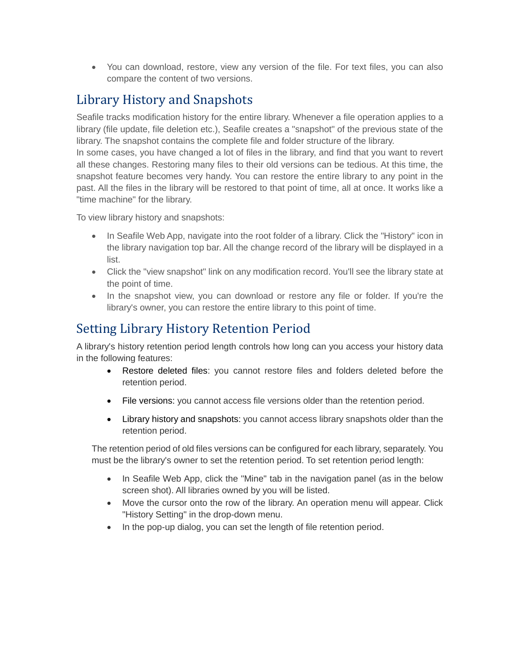You can download, restore, view any version of the file. For text files, you can also compare the content of two versions.

### Library History and Snapshots

Seafile tracks modification history for the entire library. Whenever a file operation applies to a library (file update, file deletion etc.), Seafile creates a "snapshot" of the previous state of the library. The snapshot contains the complete file and folder structure of the library.

In some cases, you have changed a lot of files in the library, and find that you want to revert all these changes. Restoring many files to their old versions can be tedious. At this time, the snapshot feature becomes very handy. You can restore the entire library to any point in the past. All the files in the library will be restored to that point of time, all at once. It works like a "time machine" for the library.

To view library history and snapshots:

- In Seafile Web App, navigate into the root folder of a library. Click the "History" icon in the library navigation top bar. All the change record of the library will be displayed in a list.
- Click the "view snapshot" link on any modification record. You'll see the library state at the point of time.
- In the snapshot view, you can download or restore any file or folder. If you're the library's owner, you can restore the entire library to this point of time.

### Setting Library History Retention Period

A library's history retention period length controls how long can you access your history data in the following features:

- [Restore deleted files:](https://www.seafile.com/en/help/restore_files/) you cannot restore files and folders deleted before the retention period.
- [File versions:](https://www.seafile.com/en/help/file_history/) you cannot access file versions older than the retention period.
- [Library history and snapshots:](https://www.seafile.com/en/help/snapshot/) you cannot access library snapshots older than the retention period.

The retention period of old files versions can be configured for each library, separately. You must be the library's owner to set the retention period. To set retention period length:

- In Seafile Web App, click the "Mine" tab in the navigation panel (as in the below screen shot). All libraries owned by you will be listed.
- Move the cursor onto the row of the library. An operation menu will appear. Click "History Setting" in the drop-down menu.
- In the pop-up dialog, you can set the length of file retention period.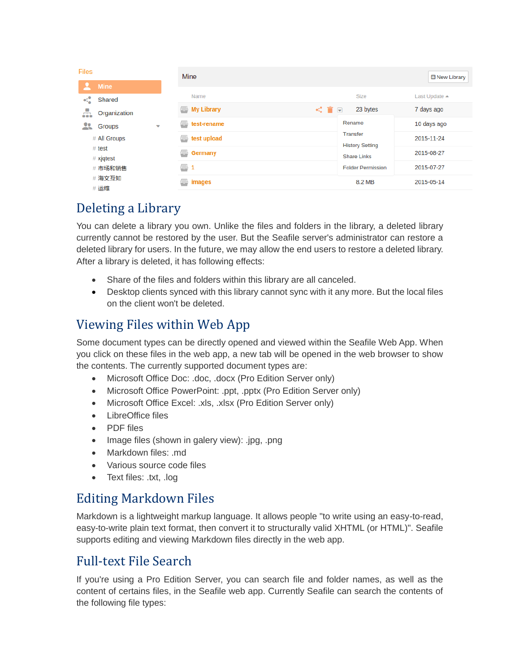| <b>Files</b>                          | <b>Mine</b>         |                                           | <b>B</b> New Library |
|---------------------------------------|---------------------|-------------------------------------------|----------------------|
| <b>Mine</b>                           |                     |                                           |                      |
| ×.<br>Shared                          | Name                | Size                                      | Last Update ▲        |
| А.<br>Organization                    | My Library          | 23 bytes<br>≪ 盲 ⊡                         | 7 days ago           |
| 29<br><b>Groups</b><br>٠              | test-rename         | Rename                                    | 10 days ago          |
| # All Groups<br># test<br>$#$ xjqtest | test upload<br>⇔    | <b>Transfer</b><br><b>History Setting</b> | 2015-11-24           |
|                                       | <b>Germany</b><br>⇔ | <b>Share Links</b>                        | 2015-08-27           |
| # 市场和销售                               | $\leftrightarrow$ 1 | <b>Folder Permission</b>                  | 2015-07-27           |
| #  implies<br># 运维                    | $\equiv$ images     | 8.2 MB                                    | 2015-05-14           |

# Deleting a Library

You can delete a library you own. Unlike the files and folders in the library, a deleted library currently cannot be restored by the user. But the Seafile server's administrator can restore a deleted library for users. In the future, we may allow the end users to restore a deleted library. After a library is deleted, it has following effects:

- Share of the files and folders within this library are all canceled.
- Desktop clients synced with this library cannot sync with it any more. But the local files on the client won't be deleted.

## Viewing Files within Web App

Some document types can be directly opened and viewed within the Seafile Web App. When you click on these files in the web app, a new tab will be opened in the web browser to show the contents. The currently supported document types are:

- Microsoft Office Doc: .doc, .docx (Pro Edition Server only)
- Microsoft Office PowerPoint: .ppt, .pptx (Pro Edition Server only)
- Microsoft Office Excel: .xls, .xlsx (Pro Edition Server only)
- LibreOffice files
- PDF files
- Image files (shown in galery view): .jpg, .png
- Markdown files: .md
- Various source code files
- Text files: .txt, .log

#### Editing Markdown Files

Markdown is a lightweight markup language. It allows people "to write using an easy-to-read, easy-to-write plain text format, then convert it to structurally valid XHTML (or HTML)". Seafile supports editing and viewing Markdown files directly in the web app.

#### Full-text File Search

If you're using a Pro Edition Server, you can search file and folder names, as well as the content of certains files, in the Seafile web app. Currently Seafile can search the contents of the following file types: